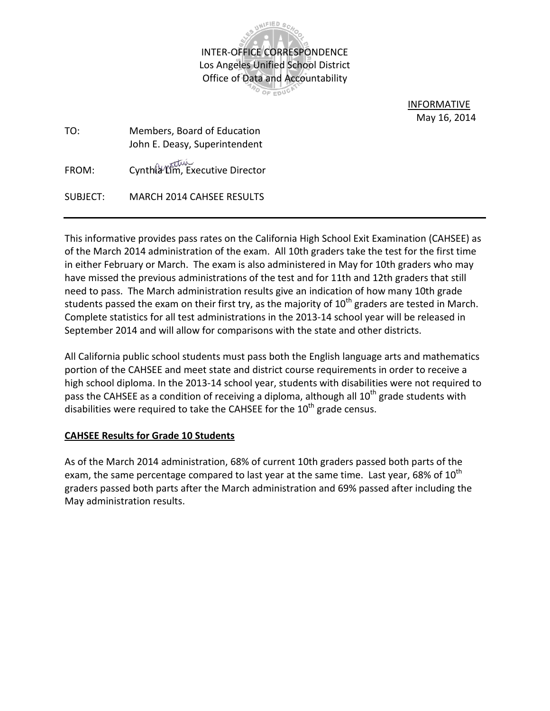

 INFORMATIVE May 16, 2014

| TO:      | Members, Board of Education<br>John E. Deasy, Superintendent |  |  |  |  |  |
|----------|--------------------------------------------------------------|--|--|--|--|--|
| FROM:    | Cynthia Lim, Executive Director                              |  |  |  |  |  |
| SUBJECT: | <b>MARCH 2014 CAHSEE RESULTS</b>                             |  |  |  |  |  |

This informative provides pass rates on the California High School Exit Examination (CAHSEE) as of the March 2014 administration of the exam. All 10th graders take the test for the first time in either February or March. The exam is also administered in May for 10th graders who may have missed the previous administrations of the test and for 11th and 12th graders that still need to pass. The March administration results give an indication of how many 10th grade students passed the exam on their first try, as the majority of  $10<sup>th</sup>$  graders are tested in March. Complete statistics for all test administrations in the 2013-14 school year will be released in September 2014 and will allow for comparisons with the state and other districts.

All California public school students must pass both the English language arts and mathematics portion of the CAHSEE and meet state and district course requirements in order to receive a high school diploma. In the 2013-14 school year, students with disabilities were not required to pass the CAHSEE as a condition of receiving a diploma, although all  $10^{th}$  grade students with disabilities were required to take the CAHSEE for the  $10<sup>th</sup>$  grade census.

## **CAHSEE Results for Grade 10 Students**

As of the March 2014 administration, 68% of current 10th graders passed both parts of the exam, the same percentage compared to last year at the same time. Last year, 68% of  $10^{th}$ graders passed both parts after the March administration and 69% passed after including the May administration results.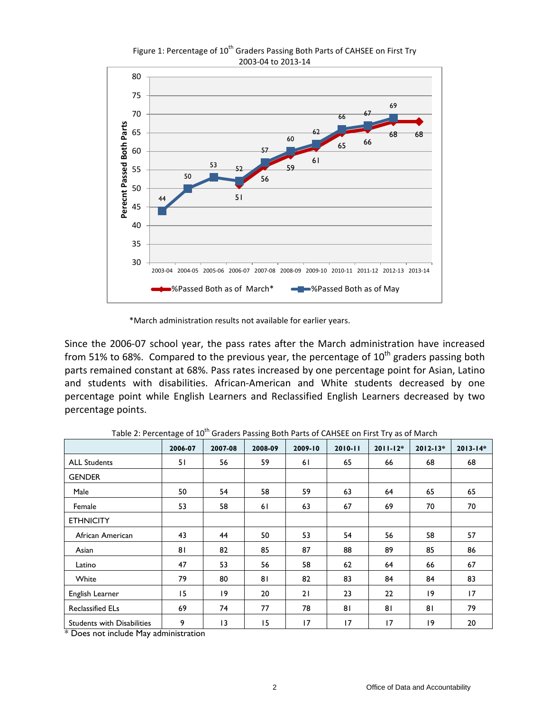

Figure 1: Percentage of 10<sup>th</sup> Graders Passing Both Parts of CAHSEE on First Try 2003-04 to 2013-14

\*March administration results not available for earlier years.

Since the 2006-07 school year, the pass rates after the March administration have increased from 51% to 68%. Compared to the previous year, the percentage of  $10^{th}$  graders passing both parts remained constant at 68%. Pass rates increased by one percentage point for Asian, Latino and students with disabilities. African-American and White students decreased by one percentage point while English Learners and Reclassified English Learners decreased by two percentage points.

|                                   | Ÿ       |         | ÷       |         |             |              |              |              |
|-----------------------------------|---------|---------|---------|---------|-------------|--------------|--------------|--------------|
|                                   | 2006-07 | 2007-08 | 2008-09 | 2009-10 | $2010 - 11$ | $2011 - 12*$ | $2012 - 13*$ | $2013 - 14*$ |
| <b>ALL Students</b>               | 51      | 56      | 59      | 61      | 65          | 66           | 68           | 68           |
| <b>GENDER</b>                     |         |         |         |         |             |              |              |              |
| Male                              | 50      | 54      | 58      | 59      | 63          | 64           | 65           | 65           |
| Female                            | 53      | 58      | 61      | 63      | 67          | 69           | 70           | 70           |
| <b>ETHNICITY</b>                  |         |         |         |         |             |              |              |              |
| African American                  | 43      | 44      | 50      | 53      | 54          | 56           | 58           | 57           |
| Asian                             | 81      | 82      | 85      | 87      | 88          | 89           | 85           | 86           |
| Latino                            | 47      | 53      | 56      | 58      | 62          | 64           | 66           | 67           |
| White                             | 79      | 80      | 81      | 82      | 83          | 84           | 84           | 83           |
| English Learner                   | 15      | 19      | 20      | 21      | 23          | 22           | 9            | 17           |
| <b>Reclassified ELs</b>           | 69      | 74      | 77      | 78      | 81          | 81           | 81           | 79           |
| <b>Students with Disabilities</b> | 9       | 13      | 15      | 17      | 17          | 17           | 9            | 20           |

Table 2: Percentage of 10<sup>th</sup> Graders Passing Both Parts of CAHSEE on First Try as of March

\* Does not include May administration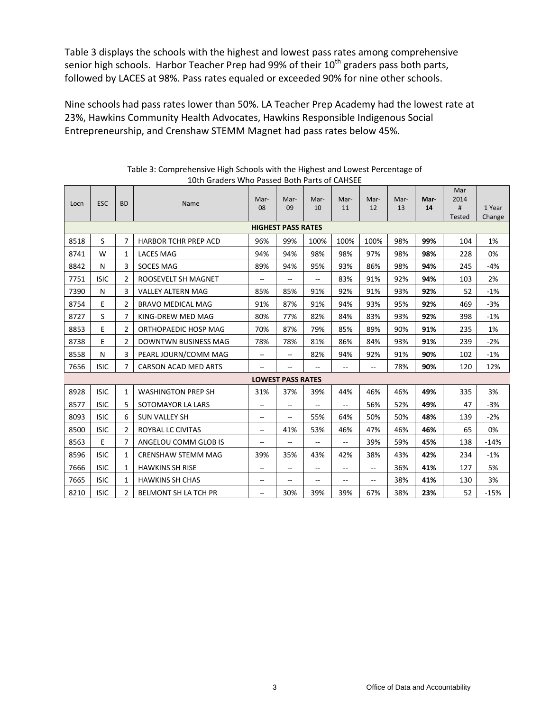Table 3 displays the schools with the highest and lowest pass rates among comprehensive senior high schools. Harbor Teacher Prep had 99% of their  $10<sup>th</sup>$  graders pass both parts, followed by LACES at 98%. Pass rates equaled or exceeded 90% for nine other schools.

Nine schools had pass rates lower than 50%. LA Teacher Prep Academy had the lowest rate at 23%, Hawkins Community Health Advocates, Hawkins Responsible Indigenous Social Entrepreneurship, and Crenshaw STEMM Magnet had pass rates below 45%.

| Locn | <b>ESC</b>                | <b>BD</b>      | Name                        | Mar-                     | Mar-                     | Mar-          | Mar-           | Mar-           | Mar- | Mar- | Mar<br>2014 |                  |
|------|---------------------------|----------------|-----------------------------|--------------------------|--------------------------|---------------|----------------|----------------|------|------|-------------|------------------|
|      |                           |                |                             | 08                       | 09                       | 10            | 11             | 12             | 13   | 14   | #<br>Tested | 1 Year<br>Change |
|      | <b>HIGHEST PASS RATES</b> |                |                             |                          |                          |               |                |                |      |      |             |                  |
| 8518 | S                         | 7              | <b>HARBOR TCHR PREP ACD</b> | 96%                      | 99%                      | 100%          | 100%           | 100%           | 98%  | 99%  | 104         | 1%               |
| 8741 | W                         | 1              | <b>LACES MAG</b>            | 94%                      | 94%                      | 98%           | 98%            | 97%            | 98%  | 98%  | 228         | 0%               |
| 8842 | N                         | 3              | <b>SOCES MAG</b>            | 89%                      | 94%                      | 95%           | 93%            | 86%            | 98%  | 94%  | 245         | $-4%$            |
| 7751 | <b>ISIC</b>               | 2              | ROOSEVELT SH MAGNET         | $-$                      | --                       | --            | 83%            | 91%            | 92%  | 94%  | 103         | 2%               |
| 7390 | N                         | 3              | <b>VALLEY ALTERN MAG</b>    | 85%                      | 85%                      | 91%           | 92%            | 91%            | 93%  | 92%  | 52          | $-1%$            |
| 8754 | E                         | 2              | <b>BRAVO MEDICAL MAG</b>    | 91%                      | 87%                      | 91%           | 94%            | 93%            | 95%  | 92%  | 469         | $-3%$            |
| 8727 | S                         | 7              | KING-DREW MED MAG           | 80%                      | 77%                      | 82%           | 84%            | 83%            | 93%  | 92%  | 398         | $-1%$            |
| 8853 | E                         | 2              | ORTHOPAEDIC HOSP MAG        | 70%                      | 87%                      | 79%           | 85%            | 89%            | 90%  | 91%  | 235         | 1%               |
| 8738 | E                         | $\overline{2}$ | <b>DOWNTWN BUSINESS MAG</b> | 78%                      | 78%                      | 81%           | 86%            | 84%            | 93%  | 91%  | 239         | $-2%$            |
| 8558 | N                         | 3              | PEARL JOURN/COMM MAG        | --                       | $-$                      | 82%           | 94%            | 92%            | 91%  | 90%  | 102         | $-1%$            |
| 7656 | <b>ISIC</b>               | 7              | <b>CARSON ACAD MED ARTS</b> | $\frac{1}{2}$            | $-$                      | $-$           | $\overline{a}$ | $\overline{a}$ | 78%  | 90%  | 120         | 12%              |
|      |                           |                |                             |                          | <b>LOWEST PASS RATES</b> |               |                |                |      |      |             |                  |
| 8928 | <b>ISIC</b>               | $\mathbf{1}$   | <b>WASHINGTON PREP SH</b>   | 31%                      | 37%                      | 39%           | 44%            | 46%            | 46%  | 49%  | 335         | 3%               |
| 8577 | <b>ISIC</b>               | 5              | SOTOMAYOR LA LARS           | $\overline{\phantom{a}}$ | $\overline{a}$           | --            | $\overline{a}$ | 56%            | 52%  | 49%  | 47          | $-3%$            |
| 8093 | <b>ISIC</b>               | 6              | <b>SUN VALLEY SH</b>        | $\overline{\phantom{a}}$ | $\overline{a}$           | 55%           | 64%            | 50%            | 50%  | 48%  | 139         | $-2%$            |
| 8500 | <b>ISIC</b>               | 2              | ROYBAL LC CIVITAS           | $\hspace{0.05cm}$        | 41%                      | 53%           | 46%            | 47%            | 46%  | 46%  | 65          | 0%               |
| 8563 | E                         | 7              | ANGELOU COMM GLOB IS        | $\overline{\phantom{a}}$ | $-$                      | $-$           | $-$            | 39%            | 59%  | 45%  | 138         | $-14%$           |
| 8596 | <b>ISIC</b>               | 1              | <b>CRENSHAW STEMM MAG</b>   | 39%                      | 35%                      | 43%           | 42%            | 38%            | 43%  | 42%  | 234         | $-1%$            |
| 7666 | <b>ISIC</b>               | 1              | <b>HAWKINS SH RISE</b>      | $\overline{\phantom{a}}$ | $-$                      | --            | $\overline{a}$ | $- -$          | 36%  | 41%  | 127         | 5%               |
| 7665 | <b>ISIC</b>               | 1              | <b>HAWKINS SH CHAS</b>      | $\overline{\phantom{a}}$ | $\overline{\phantom{a}}$ | $\sim$ $\sim$ | $-$            | $- -$          | 38%  | 41%  | 130         | 3%               |
| 8210 | <b>ISIC</b>               | 2              | <b>BELMONT SH LA TCH PR</b> | $-$                      | 30%                      | 39%           | 39%            | 67%            | 38%  | 23%  | 52          | $-15%$           |

Table 3: Comprehensive High Schools with the Highest and Lowest Percentage of 10th Graders Who Passed Both Parts of CAHSEE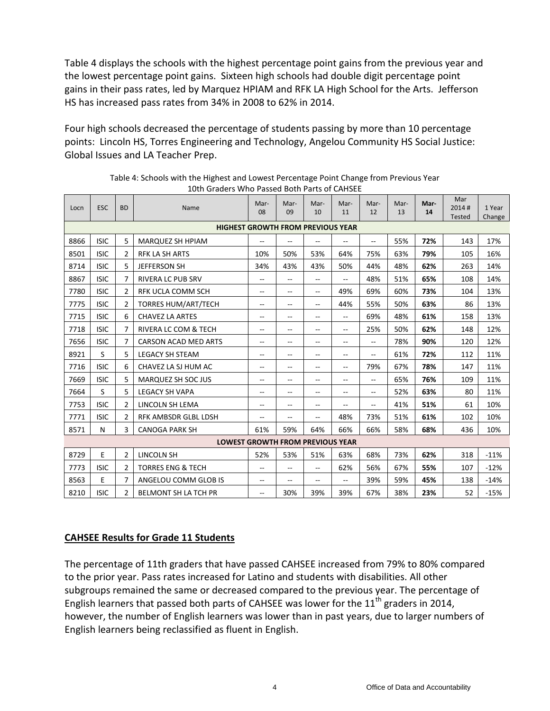Table 4 displays the schools with the highest percentage point gains from the previous year and the lowest percentage point gains. Sixteen high schools had double digit percentage point gains in their pass rates, led by Marquez HPIAM and RFK LA High School for the Arts. Jefferson HS has increased pass rates from 34% in 2008 to 62% in 2014.

Four high schools decreased the percentage of students passing by more than 10 percentage points: Lincoln HS, Torres Engineering and Technology, Angelou Community HS Social Justice: Global Issues and LA Teacher Prep.

| Locn | <b>ESC</b>                               | <b>BD</b>      | Name                         | Mar-<br>08               | Mar-<br>09    | Mar-<br>10               | Mar-<br>11               | Mar-<br>12     | Mar-<br>13 | Mar-<br>14 | Mar<br>2014#<br><b>Tested</b> | 1 Year<br>Change |
|------|------------------------------------------|----------------|------------------------------|--------------------------|---------------|--------------------------|--------------------------|----------------|------------|------------|-------------------------------|------------------|
|      | <b>HIGHEST GROWTH FROM PREVIOUS YEAR</b> |                |                              |                          |               |                          |                          |                |            |            |                               |                  |
| 8866 | <b>ISIC</b>                              | 5              | MARQUEZ SH HPIAM             | $-$                      |               | $-$                      | $\sim$                   | --             | 55%        | 72%        | 143                           | 17%              |
| 8501 | <b>ISIC</b>                              | 2              | <b>RFK LA SH ARTS</b>        | 10%                      | 50%           | 53%                      | 64%                      | 75%            | 63%        | 79%        | 105                           | 16%              |
| 8714 | <b>ISIC</b>                              | 5              | <b>JEFFERSON SH</b>          | 34%                      | 43%           | 43%                      | 50%                      | 44%            | 48%        | 62%        | 263                           | 14%              |
| 8867 | <b>ISIC</b>                              | 7              | <b>RIVERA LC PUB SRV</b>     | $\overline{\phantom{a}}$ | --            | $-$                      | --                       | 48%            | 51%        | 65%        | 108                           | 14%              |
| 7780 | <b>ISIC</b>                              | 2              | <b>RFK UCLA COMM SCH</b>     | $\overline{\phantom{a}}$ | $-$           | $\sim$ $\sim$            | 49%                      | 69%            | 60%        | 73%        | 104                           | 13%              |
| 7775 | <b>ISIC</b>                              | 2              | <b>TORRES HUM/ART/TECH</b>   | $\overline{\phantom{a}}$ | $\frac{1}{2}$ | $\sim$ $\sim$            | 44%                      | 55%            | 50%        | 63%        | 86                            | 13%              |
| 7715 | <b>ISIC</b>                              | 6              | <b>CHAVEZ LA ARTES</b>       | $\overline{\phantom{a}}$ | $- -$         | $-$                      | $-$                      | 69%            | 48%        | 61%        | 158                           | 13%              |
| 7718 | <b>ISIC</b>                              | 7              | RIVERA LC COM & TECH         | $\overline{\phantom{a}}$ | --            | $\overline{\phantom{a}}$ | $\overline{\phantom{m}}$ | 25%            | 50%        | 62%        | 148                           | 12%              |
| 7656 | <b>ISIC</b>                              | 7              | CARSON ACAD MED ARTS         | $\sim$ $\sim$            | $-$           | $\sim$ $\sim$            | $\overline{\phantom{a}}$ | $- -$          | 78%        | 90%        | 120                           | 12%              |
| 8921 | S                                        | 5.             | <b>LEGACY SH STEAM</b>       | $\overline{\phantom{a}}$ | $- -$         | $-$                      | $\overline{\phantom{a}}$ | --             | 61%        | 72%        | 112                           | 11%              |
| 7716 | <b>ISIC</b>                              | 6              | CHAVEZ LA SJ HUM AC          | $\overline{\phantom{a}}$ | $-$           | $-$                      | $\overline{\phantom{a}}$ | 79%            | 67%        | 78%        | 147                           | 11%              |
| 7669 | <b>ISIC</b>                              | 5              | MARQUEZ SH SOC JUS           | $\overline{\phantom{a}}$ | --            | $-$                      | $\frac{1}{2}$            | --             | 65%        | 76%        | 109                           | 11%              |
| 7664 | S                                        | 5              | <b>LEGACY SH VAPA</b>        | $\overline{\phantom{a}}$ | $-$           | $-$                      | $\overline{\phantom{a}}$ | $\overline{a}$ | 52%        | 63%        | 80                            | 11%              |
| 7753 | <b>ISIC</b>                              | 2              | LINCOLN SH LEMA              | $\overline{\phantom{a}}$ | $-$           | $-$                      | $-$                      | Щ,             | 41%        | 51%        | 61                            | 10%              |
| 7771 | <b>ISIC</b>                              | 2              | RFK AMBSDR GLBL LDSH         | $\overline{\phantom{a}}$ | $-$           | $-$                      | 48%                      | 73%            | 51%        | 61%        | 102                           | 10%              |
| 8571 | N                                        | 3              | <b>CANOGA PARK SH</b>        | 61%                      | 59%           | 64%                      | 66%                      | 66%            | 58%        | 68%        | 436                           | 10%              |
|      | <b>LOWEST GROWTH FROM PREVIOUS YEAR</b>  |                |                              |                          |               |                          |                          |                |            |            |                               |                  |
| 8729 | E                                        | $\overline{2}$ | <b>LINCOLN SH</b>            | 52%                      | 53%           | 51%                      | 63%                      | 68%            | 73%        | 62%        | 318                           | $-11%$           |
| 7773 | <b>ISIC</b>                              | 2              | <b>TORRES ENG &amp; TECH</b> | $\overline{\phantom{a}}$ | --            | $-$                      | 62%                      | 56%            | 67%        | 55%        | 107                           | $-12%$           |
| 8563 | E                                        | 7              | ANGELOU COMM GLOB IS         | $\overline{\phantom{m}}$ | --            | --                       | $-$                      | 39%            | 59%        | 45%        | 138                           | $-14%$           |
| 8210 | <b>ISIC</b>                              | 2              | BELMONT SH LA TCH PR         | --                       | 30%           | 39%                      | 39%                      | 67%            | 38%        | 23%        | 52                            | $-15%$           |

Table 4: Schools with the Highest and Lowest Percentage Point Change from Previous Year 10th Graders Who Passed Both Parts of CAHSEE

## **CAHSEE Results for Grade 11 Students**

The percentage of 11th graders that have passed CAHSEE increased from 79% to 80% compared to the prior year. Pass rates increased for Latino and students with disabilities. All other subgroups remained the same or decreased compared to the previous year. The percentage of English learners that passed both parts of CAHSEE was lower for the  $11<sup>th</sup>$  graders in 2014, however, the number of English learners was lower than in past years, due to larger numbers of English learners being reclassified as fluent in English.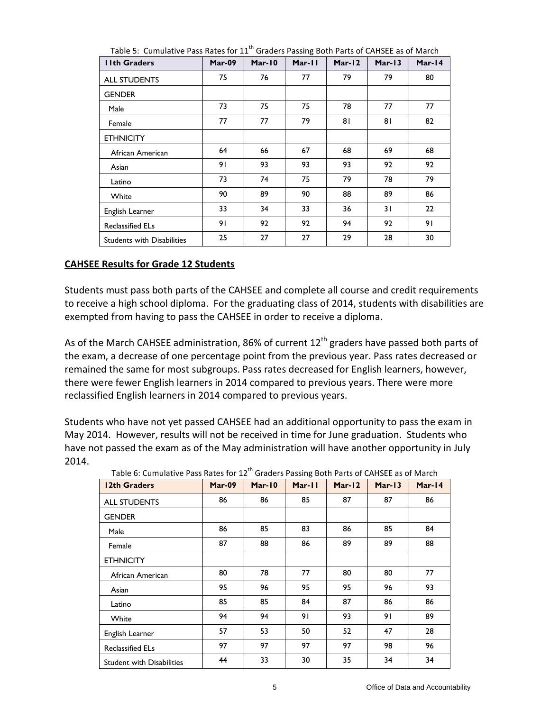| <b>Ilth Graders</b>               | Mar-09 | $Mar-10$ | Mar-11 | Mar-12 | $Mar-13$ | Mar-14 |
|-----------------------------------|--------|----------|--------|--------|----------|--------|
| <b>ALL STUDENTS</b>               | 75     | 76       | 77     | 79     | 79       | 80     |
| <b>GENDER</b>                     |        |          |        |        |          |        |
| Male                              | 73     | 75       | 75     | 78     | 77       | 77     |
| Female                            | 77     | 77       | 79     | 81     | 81       | 82     |
| <b>ETHNICITY</b>                  |        |          |        |        |          |        |
| African American                  | 64     | 66       | 67     | 68     | 69       | 68     |
| Asian                             | 91     | 93       | 93     | 93     | 92       | 92     |
| Latino                            | 73     | 74       | 75     | 79     | 78       | 79     |
| White                             | 90     | 89       | 90     | 88     | 89       | 86     |
| English Learner                   | 33     | 34       | 33     | 36     | 31       | 22     |
| <b>Reclassified ELs</b>           | 91     | 92       | 92     | 94     | 92       | 91     |
| <b>Students with Disabilities</b> | 25     | 27       | 27     | 29     | 28       | 30     |

Table 5: Cumulative Pass Rates for 11<sup>th</sup> Graders Passing Both Parts of CAHSEE as of March

## **CAHSEE Results for Grade 12 Students**

Students must pass both parts of the CAHSEE and complete all course and credit requirements to receive a high school diploma. For the graduating class of 2014, students with disabilities are exempted from having to pass the CAHSEE in order to receive a diploma.

As of the March CAHSEE administration, 86% of current  $12<sup>th</sup>$  graders have passed both parts of the exam, a decrease of one percentage point from the previous year. Pass rates decreased or remained the same for most subgroups. Pass rates decreased for English learners, however, there were fewer English learners in 2014 compared to previous years. There were more reclassified English learners in 2014 compared to previous years.

Students who have not yet passed CAHSEE had an additional opportunity to pass the exam in May 2014. However, results will not be received in time for June graduation. Students who have not passed the exam as of the May administration will have another opportunity in July 2014.

| 12th Graders                     | Mar-09 | $Mar-10$ | Mar-11 | Mar-12 | $Mar-13$ | Mar-14 |
|----------------------------------|--------|----------|--------|--------|----------|--------|
| <b>ALL STUDENTS</b>              | 86     | 86       | 85     | 87     | 87       | 86     |
| <b>GENDER</b>                    |        |          |        |        |          |        |
| Male                             | 86     | 85       | 83     | 86     | 85       | 84     |
| Female                           | 87     | 88       | 86     | 89     | 89       | 88     |
| <b>ETHNICITY</b>                 |        |          |        |        |          |        |
| African American                 | 80     | 78       | 77     | 80     | 80       | 77     |
| Asian                            | 95     | 96       | 95     | 95     | 96       | 93     |
| Latino                           | 85     | 85       | 84     | 87     | 86       | 86     |
| White                            | 94     | 94       | 91     | 93     | 91       | 89     |
| English Learner                  | 57     | 53       | 50     | 52     | 47       | 28     |
| <b>Reclassified ELs</b>          | 97     | 97       | 97     | 97     | 98       | 96     |
| <b>Student with Disabilities</b> | 44     | 33       | 30     | 35     | 34       | 34     |

Table 6: Cumulative Pass Rates for 12<sup>th</sup> Graders Passing Both Parts of CAHSEE as of March